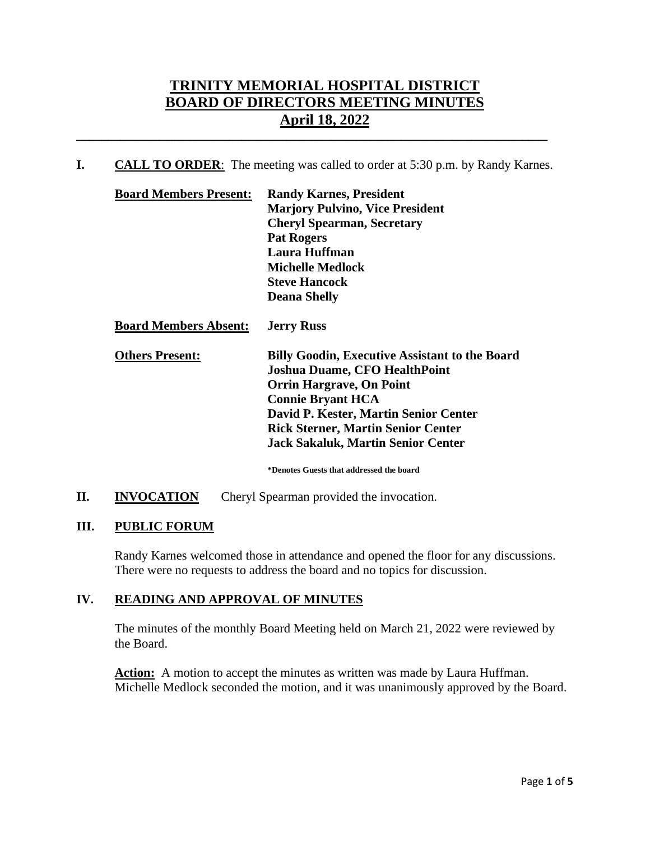# **TRINITY MEMORIAL HOSPITAL DISTRICT BOARD OF DIRECTORS MEETING MINUTES April 18, 2022**

**I. CALL TO ORDER**: The meeting was called to order at 5:30 p.m. by Randy Karnes.

**\_\_\_\_\_\_\_\_\_\_\_\_\_\_\_\_\_\_\_\_\_\_\_\_\_\_\_\_\_\_\_\_\_\_\_\_\_\_\_\_\_\_\_\_\_\_\_\_\_\_\_\_\_\_\_\_\_\_\_\_\_\_\_\_\_\_\_\_\_\_\_\_\_\_**

| <b>Board Members Present:</b> | <b>Randy Karnes, President</b>                        |  |
|-------------------------------|-------------------------------------------------------|--|
|                               | <b>Marjory Pulvino, Vice President</b>                |  |
|                               | <b>Cheryl Spearman, Secretary</b>                     |  |
|                               | <b>Pat Rogers</b>                                     |  |
|                               | <b>Laura Huffman</b>                                  |  |
|                               | <b>Michelle Medlock</b>                               |  |
|                               | <b>Steve Hancock</b>                                  |  |
|                               | <b>Deana Shelly</b>                                   |  |
| <b>Board Members Absent:</b>  | <b>Jerry Russ</b>                                     |  |
| <b>Others Present:</b>        | <b>Billy Goodin, Executive Assistant to the Board</b> |  |
|                               | <b>Joshua Duame, CFO HealthPoint</b>                  |  |
|                               | <b>Orrin Hargrave, On Point</b>                       |  |
|                               | <b>Connie Bryant HCA</b>                              |  |
|                               | David P. Kester, Martin Senior Center                 |  |
|                               | <b>Rick Sterner, Martin Senior Center</b>             |  |
|                               | <b>Jack Sakaluk, Martin Senior Center</b>             |  |

**\*Denotes Guests that addressed the board**

**II. INVOCATION** Cheryl Spearman provided the invocation.

## **III. PUBLIC FORUM**

Randy Karnes welcomed those in attendance and opened the floor for any discussions. There were no requests to address the board and no topics for discussion.

## **IV. READING AND APPROVAL OF MINUTES**

The minutes of the monthly Board Meeting held on March 21, 2022 were reviewed by the Board.

Action: A motion to accept the minutes as written was made by Laura Huffman. Michelle Medlock seconded the motion, and it was unanimously approved by the Board.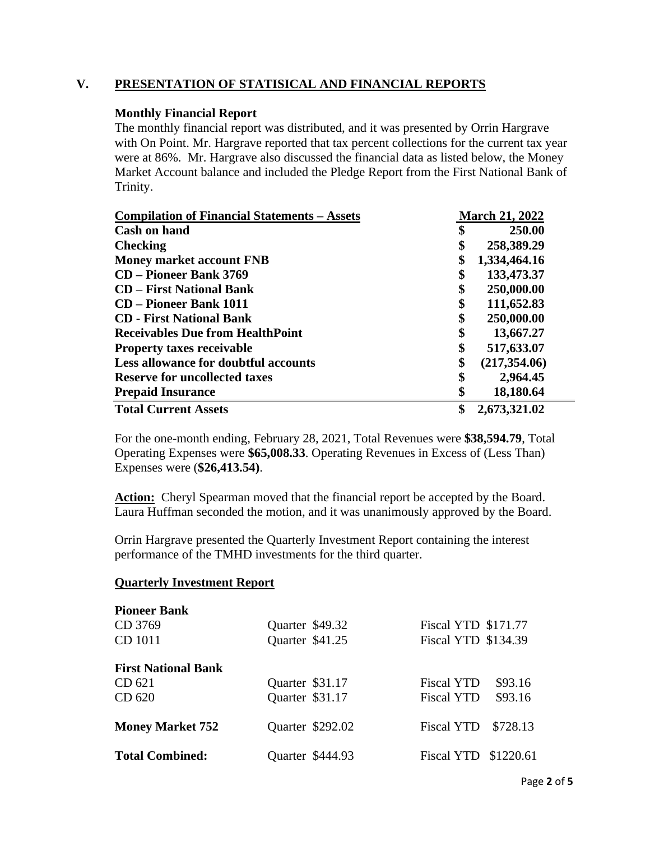## **V. PRESENTATION OF STATISICAL AND FINANCIAL REPORTS**

#### **Monthly Financial Report**

The monthly financial report was distributed, and it was presented by Orrin Hargrave with On Point. Mr. Hargrave reported that tax percent collections for the current tax year were at 86%. Mr. Hargrave also discussed the financial data as listed below, the Money Market Account balance and included the Pledge Report from the First National Bank of Trinity.

| <b>Compilation of Financial Statements – Assets</b> | <b>March 21, 2022</b> |               |
|-----------------------------------------------------|-----------------------|---------------|
| <b>Cash on hand</b>                                 | \$                    | 250.00        |
| <b>Checking</b>                                     | \$                    | 258,389.29    |
| <b>Money market account FNB</b>                     | \$                    | 1,334,464.16  |
| <b>CD</b> – Pioneer Bank 3769                       | \$                    | 133,473.37    |
| <b>CD</b> – First National Bank                     | \$                    | 250,000.00    |
| <b>CD</b> – Pioneer Bank 1011                       | \$                    | 111,652.83    |
| <b>CD</b> - First National Bank                     | \$                    | 250,000.00    |
| <b>Receivables Due from HealthPoint</b>             | \$                    | 13,667.27     |
| <b>Property taxes receivable</b>                    | \$                    | 517,633.07    |
| Less allowance for doubtful accounts                | \$                    | (217, 354.06) |
| <b>Reserve for uncollected taxes</b>                | \$                    | 2,964.45      |
| <b>Prepaid Insurance</b>                            | \$                    | 18,180.64     |
| <b>Total Current Assets</b>                         | \$                    | 2,673,321.02  |

For the one-month ending, February 28, 2021, Total Revenues were **\$38,594.79**, Total Operating Expenses were **\$65,008.33**. Operating Revenues in Excess of (Less Than) Expenses were (**\$26,413.54)**.

Action: Cheryl Spearman moved that the financial report be accepted by the Board. Laura Huffman seconded the motion, and it was unanimously approved by the Board.

Orrin Hargrave presented the Quarterly Investment Report containing the interest performance of the TMHD investments for the third quarter.

#### **Quarterly Investment Report**

| <b>Pioneer Bank</b>        |                  |                               |
|----------------------------|------------------|-------------------------------|
| CD 3769                    | Quarter \$49.32  | Fiscal YTD \$171.77           |
| CD 1011                    | Quarter \$41.25  | Fiscal YTD \$134.39           |
| <b>First National Bank</b> |                  |                               |
| CD 621                     | Quarter \$31.17  | \$93.16<br><b>Fiscal YTD</b>  |
| CD 620                     | Quarter \$31.17  | \$93.16<br><b>Fiscal YTD</b>  |
| <b>Money Market 752</b>    | Quarter \$292.02 | <b>Fiscal YTD</b><br>\$728.13 |
| <b>Total Combined:</b>     | Quarter \$444.93 | Fiscal YTD \$1220.61          |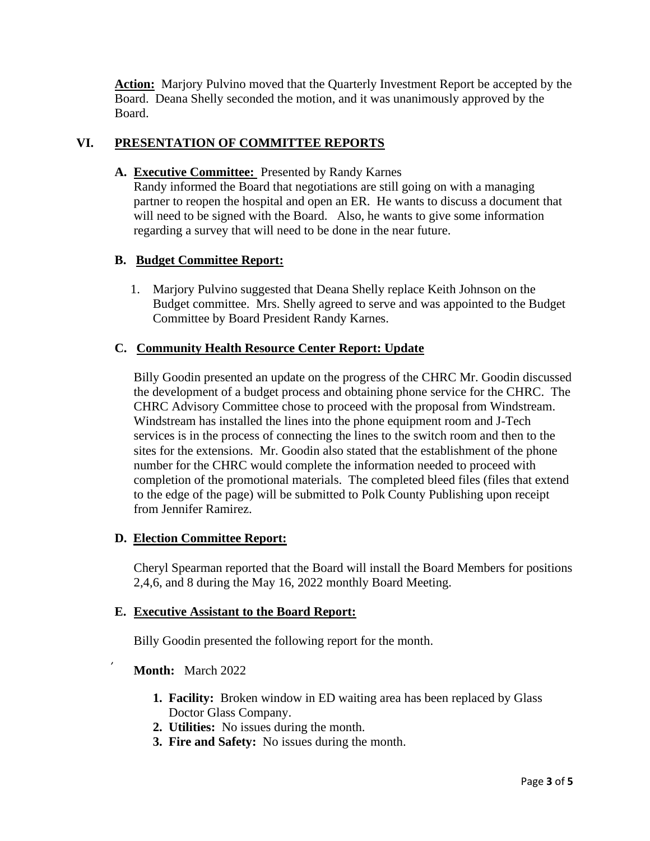**Action:** Marjory Pulvino moved that the Quarterly Investment Report be accepted by the Board. Deana Shelly seconded the motion, and it was unanimously approved by the Board.

## **VI. PRESENTATION OF COMMITTEE REPORTS**

**A. Executive Committee:** Presented by Randy Karnes

Randy informed the Board that negotiations are still going on with a managing partner to reopen the hospital and open an ER. He wants to discuss a document that will need to be signed with the Board. Also, he wants to give some information regarding a survey that will need to be done in the near future.

## **B. Budget Committee Report:**

 1. Marjory Pulvino suggested that Deana Shelly replace Keith Johnson on the Budget committee. Mrs. Shelly agreed to serve and was appointed to the Budget Committee by Board President Randy Karnes.

### **C. Community Health Resource Center Report: Update**

Billy Goodin presented an update on the progress of the CHRC Mr. Goodin discussed the development of a budget process and obtaining phone service for the CHRC. The CHRC Advisory Committee chose to proceed with the proposal from Windstream. Windstream has installed the lines into the phone equipment room and J-Tech services is in the process of connecting the lines to the switch room and then to the sites for the extensions. Mr. Goodin also stated that the establishment of the phone number for the CHRC would complete the information needed to proceed with completion of the promotional materials. The completed bleed files (files that extend to the edge of the page) will be submitted to Polk County Publishing upon receipt from Jennifer Ramirez.

### **D. Election Committee Report:**

Cheryl Spearman reported that the Board will install the Board Members for positions 2,4,6, and 8 during the May 16, 2022 monthly Board Meeting.

### **E. Executive Assistant to the Board Report:**

Billy Goodin presented the following report for the month.

### **Month:** March 2022

- **1. Facility:** Broken window in ED waiting area has been replaced by Glass Doctor Glass Company.
- **2. Utilities:** No issues during the month.
- **3. Fire and Safety:** No issues during the month.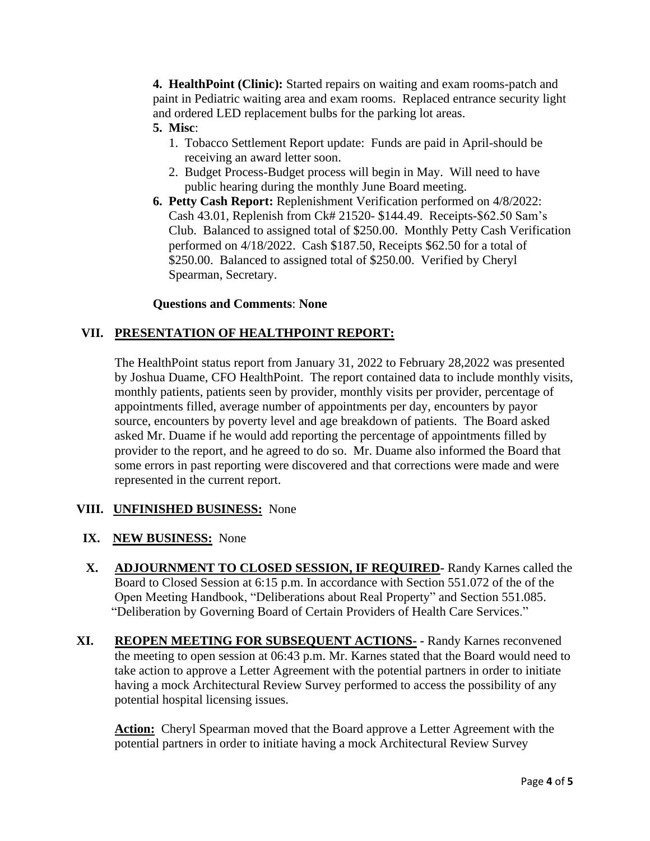**4. HealthPoint (Clinic):** Started repairs on waiting and exam rooms-patch and paint in Pediatric waiting area and exam rooms. Replaced entrance security light and ordered LED replacement bulbs for the parking lot areas.

## **5. Misc**:

- 1. Tobacco Settlement Report update: Funds are paid in April-should be receiving an award letter soon.
- 2. Budget Process-Budget process will begin in May. Will need to have public hearing during the monthly June Board meeting.
- **6. Petty Cash Report:** Replenishment Verification performed on 4/8/2022: Cash 43.01, Replenish from Ck# 21520- \$144.49. Receipts-\$62.50 Sam's Club. Balanced to assigned total of \$250.00. Monthly Petty Cash Verification performed on 4/18/2022. Cash \$187.50, Receipts \$62.50 for a total of \$250.00. Balanced to assigned total of \$250.00. Verified by Cheryl Spearman, Secretary.

## **Questions and Comments**: **None**

## **VII. PRESENTATION OF HEALTHPOINT REPORT:**

The HealthPoint status report from January 31, 2022 to February 28,2022 was presented by Joshua Duame, CFO HealthPoint. The report contained data to include monthly visits, monthly patients, patients seen by provider, monthly visits per provider, percentage of appointments filled, average number of appointments per day, encounters by payor source, encounters by poverty level and age breakdown of patients. The Board asked asked Mr. Duame if he would add reporting the percentage of appointments filled by provider to the report, and he agreed to do so. Mr. Duame also informed the Board that some errors in past reporting were discovered and that corrections were made and were represented in the current report.

### **VIII. UNFINISHED BUSINESS:** None

## **IX. NEW BUSINESS:** None

- **X. ADJOURNMENT TO CLOSED SESSION, IF REQUIRED-** Randy Karnes called the Board to Closed Session at 6:15 p.m. In accordance with Section 551.072 of the of the Open Meeting Handbook, "Deliberations about Real Property" and Section 551.085. "Deliberation by Governing Board of Certain Providers of Health Care Services."
- **XI. REOPEN MEETING FOR SUBSEQUENT ACTIONS- -** Randy Karnes reconvened the meeting to open session at 06:43 p.m. Mr. Karnes stated that the Board would need to take action to approve a Letter Agreement with the potential partners in order to initiate having a mock Architectural Review Survey performed to access the possibility of any potential hospital licensing issues.

Action: Cheryl Spearman moved that the Board approve a Letter Agreement with the potential partners in order to initiate having a mock Architectural Review Survey